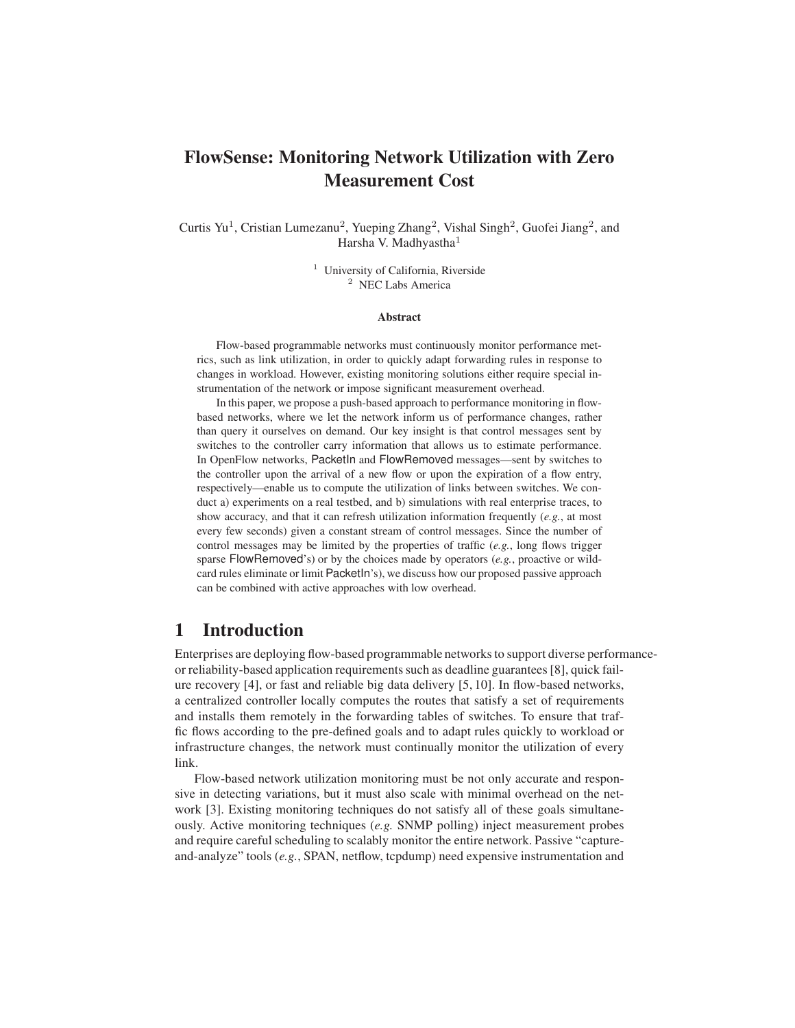# **FlowSense: Monitoring Network Utilization with Zero Measurement Cost**

Curtis Yu<sup>1</sup>, Cristian Lumezanu<sup>2</sup>, Yueping Zhang<sup>2</sup>, Vishal Singh<sup>2</sup>, Guofei Jiang<sup>2</sup>, and Harsha V. Madhyastha<sup>1</sup>

> <sup>1</sup> University of California, Riverside <sup>2</sup> NEC Labs America

#### **Abstract**

Flow-based programmable networks must continuously monitor performance metrics, such as link utilization, in order to quickly adapt forwarding rules in response to changes in workload. However, existing monitoring solutions either require special instrumentation of the network or impose significant measurement overhead.

In this paper, we propose a push-based approach to performance monitoring in flowbased networks, where we let the network inform us of performance changes, rather than query it ourselves on demand. Our key insight is that control messages sent by switches to the controller carry information that allows us to estimate performance. In OpenFlow networks, PacketIn and FlowRemoved messages—sent by switches to the controller upon the arrival of a new flow or upon the expiration of a flow entry, respectively—enable us to compute the utilization of links between switches. We conduct a) experiments on a real testbed, and b) simulations with real enterprise traces, to show accuracy, and that it can refresh utilization information frequently (*e.g.*, at most every few seconds) given a constant stream of control messages. Since the number of control messages may be limited by the properties of traffic (*e.g.*, long flows trigger sparse FlowRemoved's) or by the choices made by operators (*e.g.*, proactive or wildcard rules eliminate or limit PacketIn's), we discuss how our proposed passive approach can be combined with active approaches with low overhead.

## **1 Introduction**

Enterprises are deploying flow-based programmable networks to support diverse performanceor reliability-based application requirements such as deadline guarantees [8], quick failure recovery [4], or fast and reliable big data delivery [5, 10]. In flow-based networks, a centralized controller locally computes the routes that satisfy a set of requirements and installs them remotely in the forwarding tables of switches. To ensure that traffic flows according to the pre-defined goals and to adapt rules quickly to workload or infrastructure changes, the network must continually monitor the utilization of every link.

Flow-based network utilization monitoring must be not only accurate and responsive in detecting variations, but it must also scale with minimal overhead on the network [3]. Existing monitoring techniques do not satisfy all of these goals simultaneously. Active monitoring techniques (*e.g.* SNMP polling) inject measurement probes and require careful scheduling to scalably monitor the entire network. Passive "captureand-analyze" tools (*e.g.*, SPAN, netflow, tcpdump) need expensive instrumentation and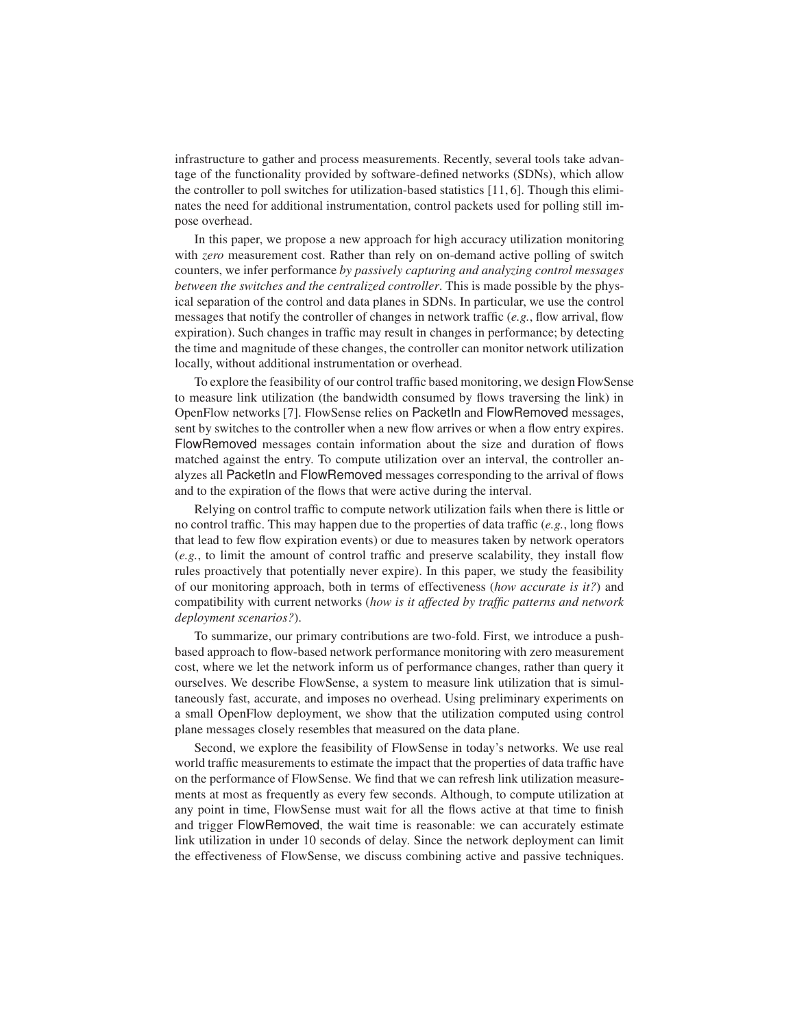infrastructure to gather and process measurements. Recently, several tools take advantage of the functionality provided by software-defined networks (SDNs), which allow the controller to poll switches for utilization-based statistics  $[11, 6]$ . Though this eliminates the need for additional instrumentation, control packets used for polling still impose overhead.

In this paper, we propose a new approach for high accuracy utilization monitoring with *zero* measurement cost. Rather than rely on on-demand active polling of switch counters, we infer performance *by passively capturing and analyzing control messages between the switches and the centralized controller*. This is made possible by the physical separation of the control and data planes in SDNs. In particular, we use the control messages that notify the controller of changes in network traffic (*e.g.*, flow arrival, flow expiration). Such changes in traffic may result in changes in performance; by detecting the time and magnitude of these changes, the controller can monitor network utilization locally, without additional instrumentation or overhead.

To explore the feasibility of our control traffic based monitoring, we design FlowSense to measure link utilization (the bandwidth consumed by flows traversing the link) in OpenFlow networks [7]. FlowSense relies on PacketIn and FlowRemoved messages, sent by switches to the controller when a new flow arrives or when a flow entry expires. FlowRemoved messages contain information about the size and duration of flows matched against the entry. To compute utilization over an interval, the controller analyzes all PacketIn and FlowRemoved messages corresponding to the arrival of flows and to the expiration of the flows that were active during the interval.

Relying on control traffic to compute network utilization fails when there is little or no control traffic. This may happen due to the properties of data traffic (*e.g.*, long flows that lead to few flow expiration events) or due to measures taken by network operators (*e.g.*, to limit the amount of control traffic and preserve scalability, they install flow rules proactively that potentially never expire). In this paper, we study the feasibility of our monitoring approach, both in terms of effectiveness (*how accurate is it?*) and compatibility with current networks (*how is it affected by traffic patterns and network deployment scenarios?*).

To summarize, our primary contributions are two-fold. First, we introduce a pushbased approach to flow-based network performance monitoring with zero measurement cost, where we let the network inform us of performance changes, rather than query it ourselves. We describe FlowSense, a system to measure link utilization that is simultaneously fast, accurate, and imposes no overhead. Using preliminary experiments on a small OpenFlow deployment, we show that the utilization computed using control plane messages closely resembles that measured on the data plane.

Second, we explore the feasibility of FlowSense in today's networks. We use real world traffic measurements to estimate the impact that the properties of data traffic have on the performance of FlowSense. We find that we can refresh link utilization measurements at most as frequently as every few seconds. Although, to compute utilization at any point in time, FlowSense must wait for all the flows active at that time to finish and trigger FlowRemoved, the wait time is reasonable: we can accurately estimate link utilization in under 10 seconds of delay. Since the network deployment can limit the effectiveness of FlowSense, we discuss combining active and passive techniques.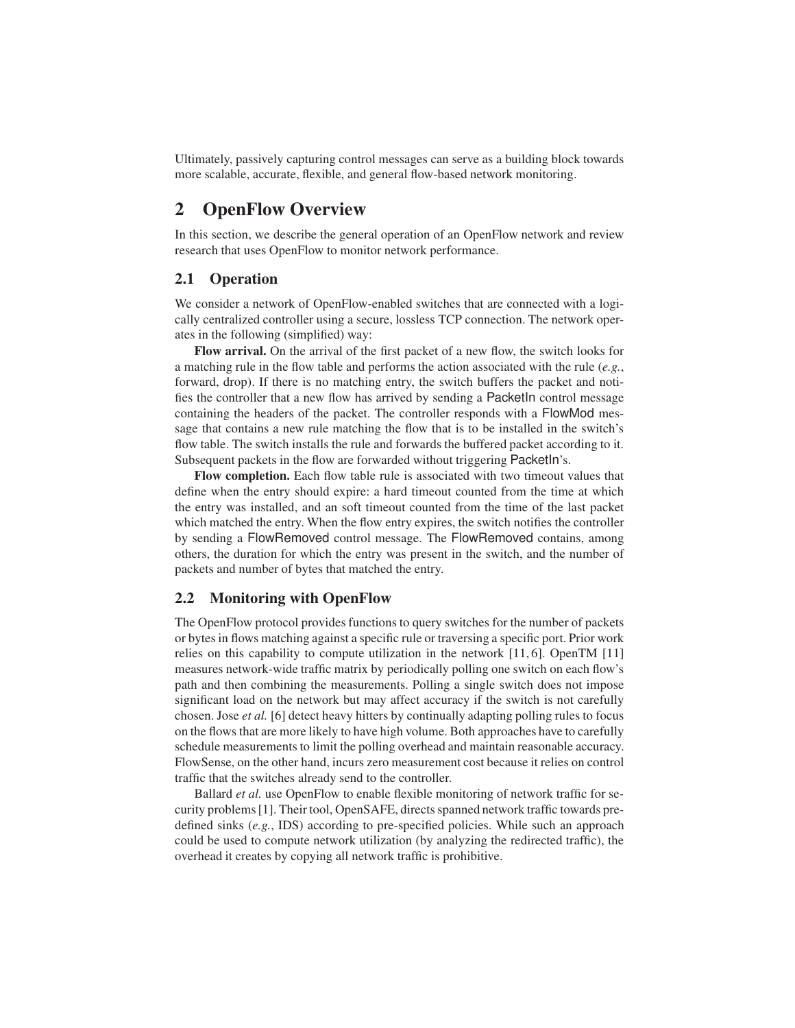Ultimately, passively capturing control messages can serve as a building block towards more scalable, accurate, flexible, and general flow-based network monitoring.

# **2 OpenFlow Overview**

In this section, we describe the general operation of an OpenFlow network and review research that uses OpenFlow to monitor network performance.

#### **2.1 Operation**

We consider a network of OpenFlow-enabled switches that are connected with a logically centralized controller using a secure, lossless TCP connection. The network operates in the following (simplified) way:

**Flow arrival.** On the arrival of the first packet of a new flow, the switch looks for a matching rule in the flow table and performs the action associated with the rule (*e.g.*, forward, drop). If there is no matching entry, the switch buffers the packet and notifies the controller that a new flow has arrived by sending a PacketIn control message containing the headers of the packet. The controller responds with a FlowMod message that contains a new rule matching the flow that is to be installed in the switch's flow table. The switch installs the rule and forwards the buffered packet according to it. Subsequent packets in the flow are forwarded without triggering Packetln's.

**Flow completion.** Each flow table rule is associated with two timeout values that define when the entry should expire: a hard timeout counted from the time at which the entry was installed, and an soft timeout counted from the time of the last packet which matched the entry. When the flow entry expires, the switch notifies the controller by sending a FlowRemoved control message. The FlowRemoved contains, among others, the duration for which the entry was present in the switch, and the number of packets and number of bytes that matched the entry.

#### **2.2 Monitoring with OpenFlow**

The OpenFlow protocol provides functions to query switches for the number of packets or bytes in flows matching against a specific rule or traversing a specific port. Prior work relies on this capability to compute utilization in the network [11, 6]. OpenTM [11] measures network-wide traffic matrix by periodically polling one switch on each flow's path and then combining the measurements. Polling a single switch does not impose significant load on the network but may affect accuracy if the switch is not carefully chosen. Jose *et al.* [6] detect heavy hitters by continually adapting polling rules to focus on the flows that are more likely to have high volume. Both approaches have to carefully schedule measurements to limit the polling overhead and maintain reasonable accuracy. FlowSense, on the other hand, incurs zero measurement cost because it relies on control traffic that the switches already send to the controller.

Ballard *et al.* use OpenFlow to enable flexible monitoring of network traffic for security problems [1]. Their tool, OpenSAFE, directs spanned network traffic towards predefined sinks (*e.g.*, IDS) according to pre-specified policies. While such an approach could be used to compute network utilization (by analyzing the redirected traffic), the overhead it creates by copying all network traffic is prohibitive.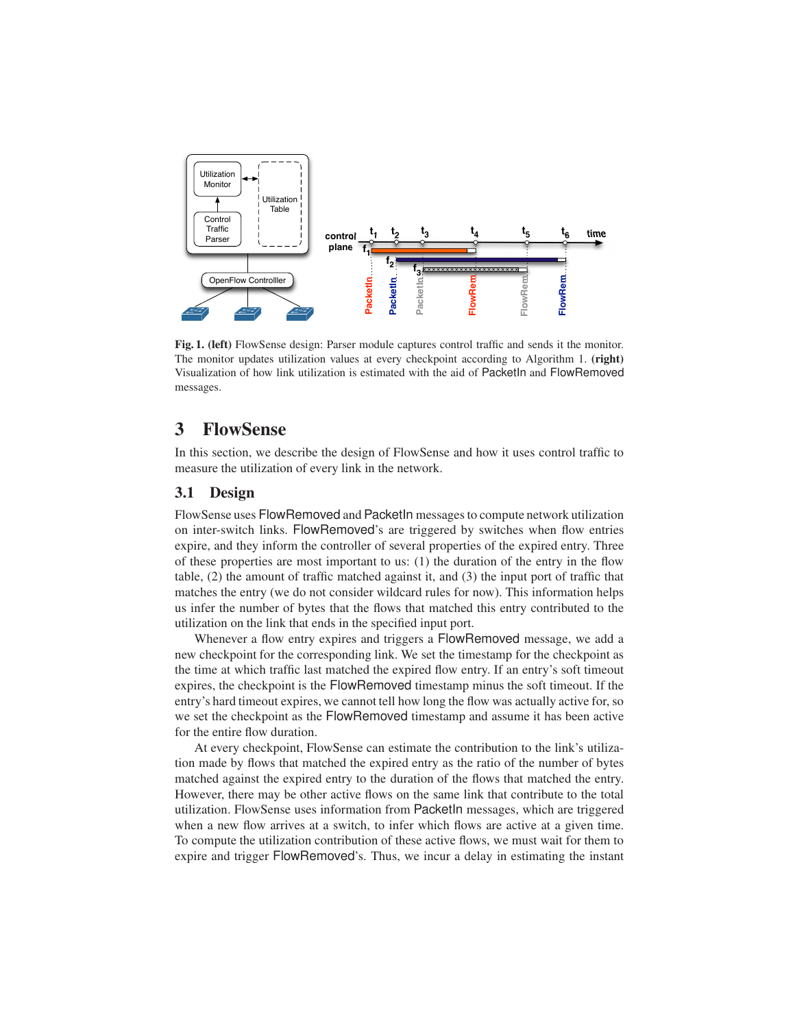

**Fig. 1. (left)** FlowSense design: Parser module captures control traffic and sends it the monitor. The monitor updates utilization values at every checkpoint according to Algorithm 1. **(right)** Visualization of how link utilization is estimated with the aid of PacketIn and FlowRemoved messages.

# **3 FlowSense**

In this section, we describe the design of FlowSense and how it uses control traffic to measure the utilization of every link in the network.

### **3.1 Design**

FlowSense uses FlowRemoved and PacketIn messages to compute network utilization on inter-switch links. FlowRemoved's are triggered by switches when flow entries expire, and they inform the controller of several properties of the expired entry. Three of these properties are most important to us: (1) the duration of the entry in the flow table, (2) the amount of traffic matched against it, and (3) the input port of traffic that matches the entry (we do not consider wildcard rules for now). This information helps us infer the number of bytes that the flows that matched this entry contributed to the utilization on the link that ends in the specified input port.

Whenever a flow entry expires and triggers a FlowRemoved message, we add a new checkpoint for the corresponding link. We set the timestamp for the checkpoint as the time at which traffic last matched the expired flow entry. If an entry's soft timeout expires, the checkpoint is the FlowRemoved timestamp minus the soft timeout. If the entry's hard timeout expires, we cannot tell how long the flow was actually active for, so we set the checkpoint as the FlowRemoved timestamp and assume it has been active for the entire flow duration.

At every checkpoint, FlowSense can estimate the contribution to the link's utilization made by flows that matched the expired entry as the ratio of the number of bytes matched against the expired entry to the duration of the flows that matched the entry. However, there may be other active flows on the same link that contribute to the total utilization. FlowSense uses information from PacketIn messages, which are triggered when a new flow arrives at a switch, to infer which flows are active at a given time. To compute the utilization contribution of these active flows, we must wait for them to expire and trigger FlowRemoved's. Thus, we incur a delay in estimating the instant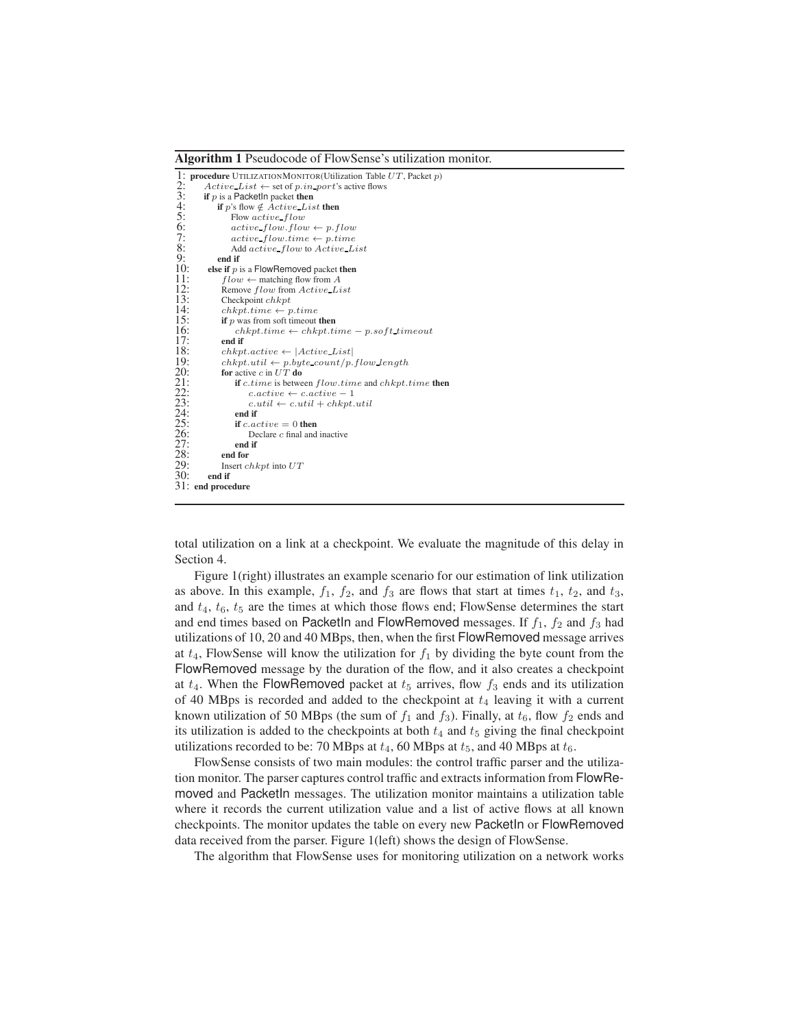**Algorithm 1** Pseudocode of FlowSense's utilization monitor.

| 1: procedure UTILIZATIONMONITOR(Utilization Table $UT,$ Packet $p)$           |
|-------------------------------------------------------------------------------|
| 2:<br>Active List $\leftarrow$ set of p.in port's active flows                |
| 3:<br>if $p$ is a Packetln packet then                                        |
| 4:<br><b>if</b> p's flow $\notin$ Active List <b>then</b>                     |
| 5:<br>Flow active flow                                                        |
| 6:<br>$active\ flow\ flow \leftarrow p\ flow$                                 |
| 7:<br>$active\_flow.time \leftarrow p.time$                                   |
| 8:<br>Add active flow to Active List                                          |
| 9:<br>end if                                                                  |
| 10:<br>else if $p$ is a FlowRemoved packet then                               |
| 11:<br>$flow \leftarrow$ matching flow from A                                 |
| 12:<br>Remove flow from Active List                                           |
| 13:<br>Checkpoint $chkpt$                                                     |
| 14:<br>$chkpt.time \leftarrow p.time$                                         |
| 15:<br>if $p$ was from soft timeout then                                      |
| 16:<br>$chkpt.time \leftarrow chkpt.time - p-soft_timeout$                    |
| 17:<br>end if                                                                 |
| 18:<br>$chkpt. active \leftarrow  Active\_List $                              |
| 19:<br>$chkpt.util \leftarrow p.byte \ count/p.flow.length$                   |
| 20:<br>for active c in $UT$ do                                                |
| 21:<br><b>if</b> $c.time$ is between $flow.time$ and $chkpt.time$ <b>then</b> |
| 22:<br>$c. active \leftarrow c. active - 1$                                   |
| 23:<br>$c.util \leftarrow c.util + chkpt.util$                                |
| 24:<br>end if                                                                 |
| 25:<br>if c.active $= 0$ then                                                 |
| 26:<br>Declare $c$ final and inactive                                         |
| 27:<br>end if                                                                 |
| 28:<br>end for                                                                |
| 29:<br>Insert <i>chkpt</i> into $UT$                                          |
| 30:<br>end if                                                                 |
| 31: end procedure                                                             |

total utilization on a link at a checkpoint. We evaluate the magnitude of this delay in Section 4.

Figure 1(right) illustrates an example scenario for our estimation of link utilization as above. In this example,  $f_1$ ,  $f_2$ , and  $f_3$  are flows that start at times  $t_1$ ,  $t_2$ , and  $t_3$ , and  $t_4$ ,  $t_6$ ,  $t_5$  are the times at which those flows end; FlowSense determines the start and end times based on PacketIn and FlowRemoved messages. If  $f_1$ ,  $f_2$  and  $f_3$  had utilizations of 10, 20 and 40 MBps, then, when the first FlowRemoved message arrives at  $t_4$ , FlowSense will know the utilization for  $f_1$  by dividing the byte count from the FlowRemoved message by the duration of the flow, and it also creates a checkpoint at  $t_4$ . When the FlowRemoved packet at  $t_5$  arrives, flow  $f_3$  ends and its utilization of 40 MBps is recorded and added to the checkpoint at  $t_4$  leaving it with a current known utilization of 50 MBps (the sum of  $f_1$  and  $f_3$ ). Finally, at  $t_6$ , flow  $f_2$  ends and its utilization is added to the checkpoints at both  $t_4$  and  $t_5$  giving the final checkpoint utilizations recorded to be: 70 MBps at  $t_4$ , 60 MBps at  $t_5$ , and 40 MBps at  $t_6$ .

FlowSense consists of two main modules: the control traffic parser and the utilization monitor. The parser captures control traffic and extracts information from FlowRemoved and PacketIn messages. The utilization monitor maintains a utilization table where it records the current utilization value and a list of active flows at all known checkpoints. The monitor updates the table on every new PacketIn or FlowRemoved data received from the parser. Figure 1(left) shows the design of FlowSense.

The algorithm that FlowSense uses for monitoring utilization on a network works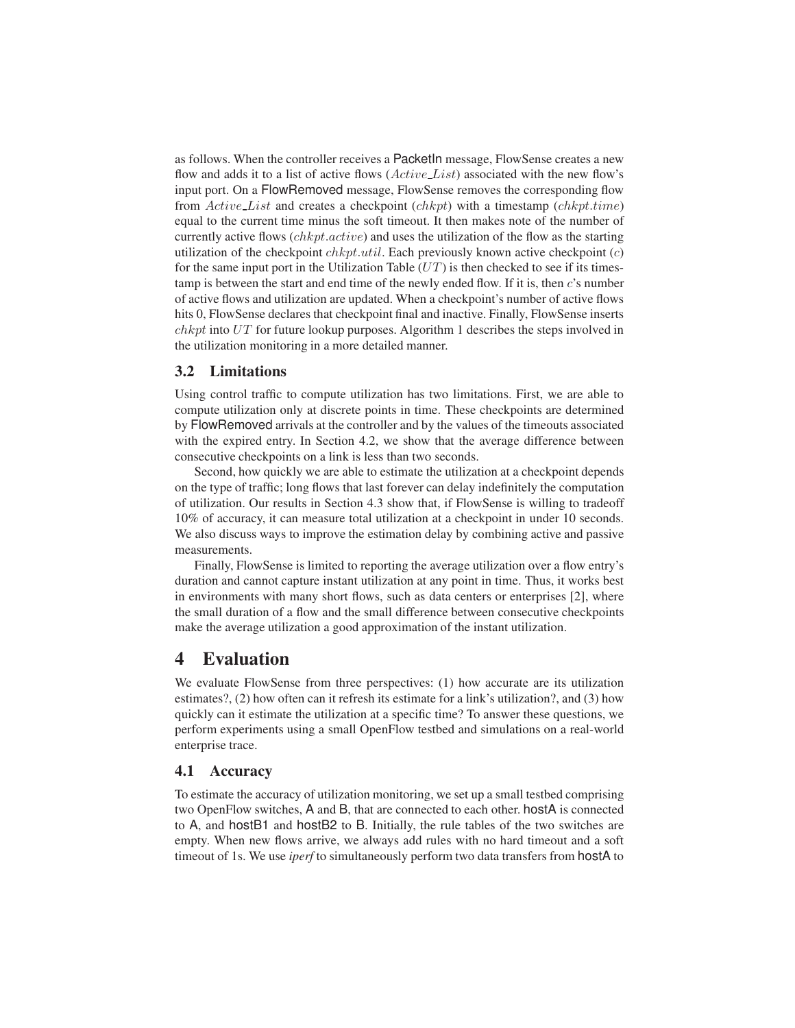as follows. When the controller receives a PacketIn message, FlowSense creates a new flow and adds it to a list of active flows (*Active\_List*) associated with the new flow's input port. On a FlowRemoved message, FlowSense removes the corresponding flow from Active List and creates a checkpoint (chkpt) with a timestamp (chkpt.time) equal to the current time minus the soft timeout. It then makes note of the number of currently active flows (chkpt.active) and uses the utilization of the flow as the starting utilization of the checkpoint  $chkpt.util$ . Each previously known active checkpoint  $(c)$ for the same input port in the Utilization Table  $(UT)$  is then checked to see if its timestamp is between the start and end time of the newly ended flow. If it is, then  $c$ 's number of active flows and utilization are updated. When a checkpoint's number of active flows hits 0, FlowSense declares that checkpoint final and inactive. Finally, FlowSense inserts  $chkpt$  into  $UT$  for future lookup purposes. Algorithm 1 describes the steps involved in the utilization monitoring in a more detailed manner.

#### **3.2 Limitations**

Using control traffic to compute utilization has two limitations. First, we are able to compute utilization only at discrete points in time. These checkpoints are determined by FlowRemoved arrivals at the controller and by the values of the timeouts associated with the expired entry. In Section 4.2, we show that the average difference between consecutive checkpoints on a link is less than two seconds.

Second, how quickly we are able to estimate the utilization at a checkpoint depends on the type of traffic; long flows that last forever can delay indefinitely the computation of utilization. Our results in Section 4.3 show that, if FlowSense is willing to tradeoff 10% of accuracy, it can measure total utilization at a checkpoint in under 10 seconds. We also discuss ways to improve the estimation delay by combining active and passive measurements.

Finally, FlowSense is limited to reporting the average utilization over a flow entry's duration and cannot capture instant utilization at any point in time. Thus, it works best in environments with many short flows, such as data centers or enterprises [2], where the small duration of a flow and the small difference between consecutive checkpoints make the average utilization a good approximation of the instant utilization.

## **4 Evaluation**

We evaluate FlowSense from three perspectives: (1) how accurate are its utilization estimates?, (2) how often can it refresh its estimate for a link's utilization?, and (3) how quickly can it estimate the utilization at a specific time? To answer these questions, we perform experiments using a small OpenFlow testbed and simulations on a real-world enterprise trace.

#### **4.1 Accuracy**

To estimate the accuracy of utilization monitoring, we set up a small testbed comprising two OpenFlow switches, A and B, that are connected to each other. hostA is connected to A, and hostB1 and hostB2 to B. Initially, the rule tables of the two switches are empty. When new flows arrive, we always add rules with no hard timeout and a soft timeout of 1s. We use *iperf* to simultaneously perform two data transfers from hostA to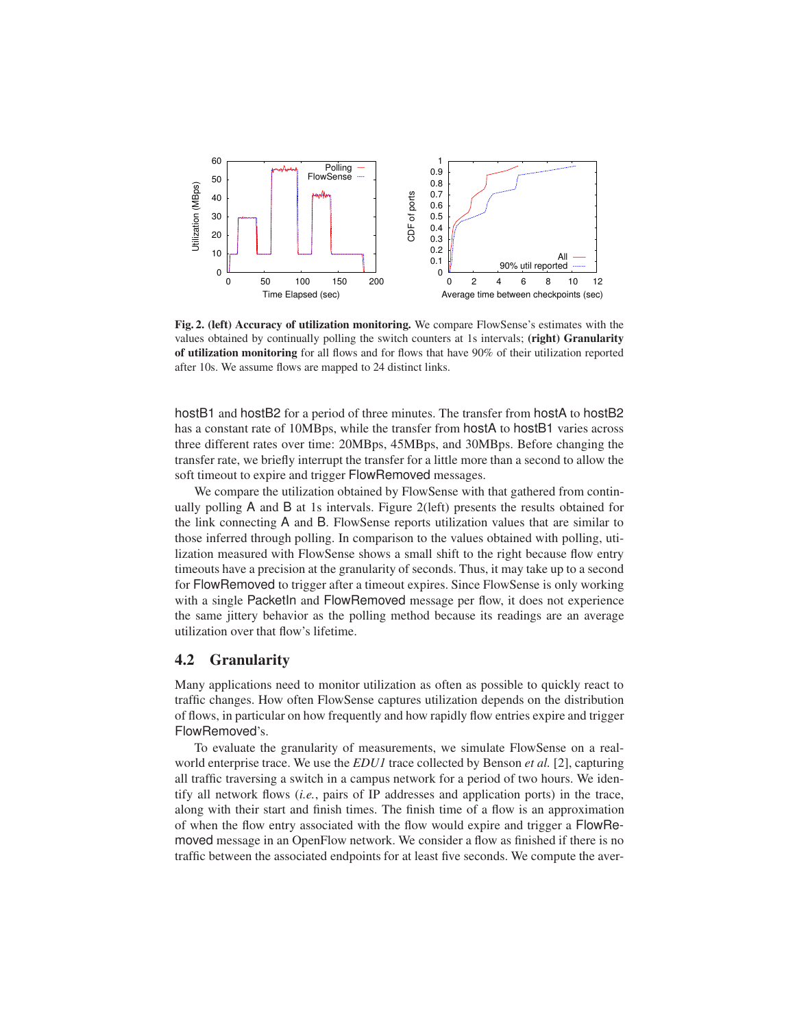

**Fig. 2. (left) Accuracy of utilization monitoring.** We compare FlowSense's estimates with the values obtained by continually polling the switch counters at 1s intervals; **(right) Granularity of utilization monitoring** for all flows and for flows that have 90% of their utilization reported after 10s. We assume flows are mapped to 24 distinct links.

hostB1 and hostB2 for a period of three minutes. The transfer from hostA to hostB2 has a constant rate of 10MBps, while the transfer from hostA to hostB1 varies across three different rates over time: 20MBps, 45MBps, and 30MBps. Before changing the transfer rate, we briefly interrupt the transfer for a little more than a second to allow the soft timeout to expire and trigger FlowRemoved messages.

We compare the utilization obtained by FlowSense with that gathered from continually polling A and B at 1s intervals. Figure 2(left) presents the results obtained for the link connecting A and B. FlowSense reports utilization values that are similar to those inferred through polling. In comparison to the values obtained with polling, utilization measured with FlowSense shows a small shift to the right because flow entry timeouts have a precision at the granularity of seconds. Thus, it may take up to a second for FlowRemoved to trigger after a timeout expires. Since FlowSense is only working with a single PacketIn and FlowRemoved message per flow, it does not experience the same jittery behavior as the polling method because its readings are an average utilization over that flow's lifetime.

#### **4.2 Granularity**

Many applications need to monitor utilization as often as possible to quickly react to traffic changes. How often FlowSense captures utilization depends on the distribution of flows, in particular on how frequently and how rapidly flow entries expire and trigger FlowRemoved's.

To evaluate the granularity of measurements, we simulate FlowSense on a realworld enterprise trace. We use the *EDU1* trace collected by Benson *et al.* [2], capturing all traffic traversing a switch in a campus network for a period of two hours. We identify all network flows (*i.e.*, pairs of IP addresses and application ports) in the trace, along with their start and finish times. The finish time of a flow is an approximation of when the flow entry associated with the flow would expire and trigger a FlowRemoved message in an OpenFlow network. We consider a flow as finished if there is no traffic between the associated endpoints for at least five seconds. We compute the aver-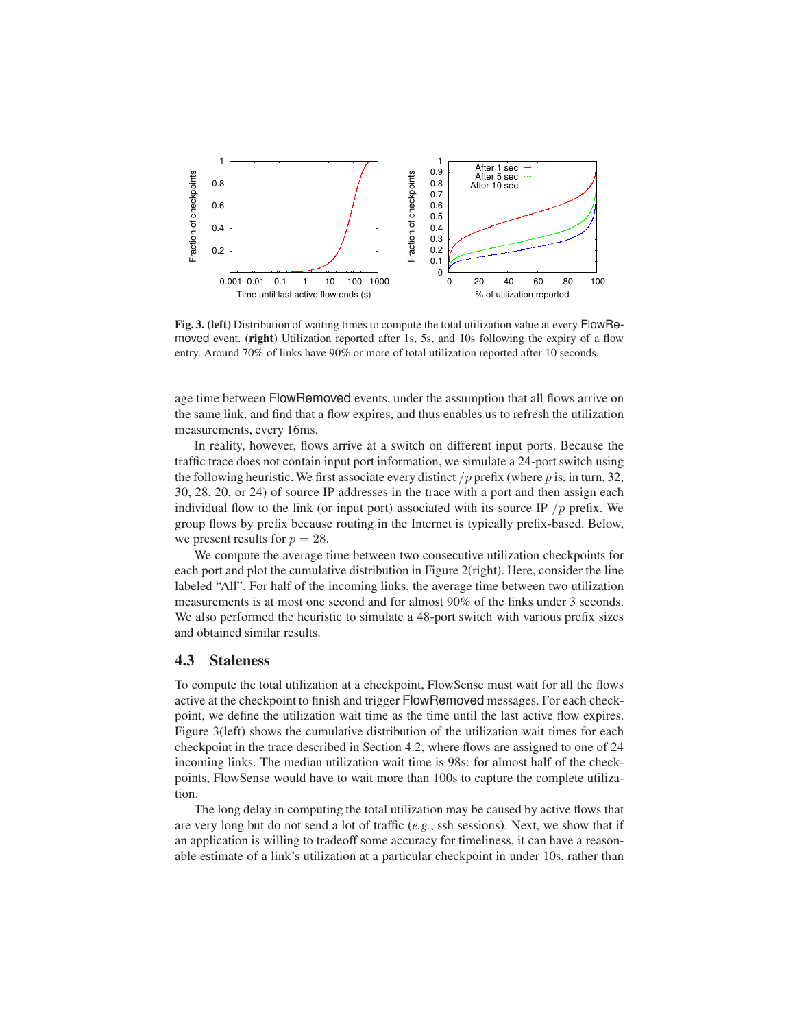

**Fig. 3. (left)** Distribution of waiting times to compute the total utilization value at every FlowRemoved event. **(right)** Utilization reported after 1s, 5s, and 10s following the expiry of a flow entry. Around 70% of links have 90% or more of total utilization reported after 10 seconds.

age time between FlowRemoved events, under the assumption that all flows arrive on the same link, and find that a flow expires, and thus enables us to refresh the utilization measurements, every 16ms.

In reality, however, flows arrive at a switch on different input ports. Because the traffic trace does not contain input port information, we simulate a 24-port switch using the following heuristic. We first associate every distinct  $/p$  prefix (where  $p$  is, in turn, 32, 30, 28, 20, or 24) of source IP addresses in the trace with a port and then assign each individual flow to the link (or input port) associated with its source IP  $/p$  prefix. We group flows by prefix because routing in the Internet is typically prefix-based. Below, we present results for  $p = 28$ .

We compute the average time between two consecutive utilization checkpoints for each port and plot the cumulative distribution in Figure 2(right). Here, consider the line labeled "All". For half of the incoming links, the average time between two utilization measurements is at most one second and for almost 90% of the links under 3 seconds. We also performed the heuristic to simulate a 48-port switch with various prefix sizes and obtained similar results.

#### **4.3 Staleness**

To compute the total utilization at a checkpoint, FlowSense must wait for all the flows active at the checkpoint to finish and trigger FlowRemoved messages. For each checkpoint, we define the utilization wait time as the time until the last active flow expires. Figure 3(left) shows the cumulative distribution of the utilization wait times for each checkpoint in the trace described in Section 4.2, where flows are assigned to one of 24 incoming links. The median utilization wait time is 98s: for almost half of the checkpoints, FlowSense would have to wait more than 100s to capture the complete utilization.

The long delay in computing the total utilization may be caused by active flows that are very long but do not send a lot of traffic (*e.g.*, ssh sessions). Next, we show that if an application is willing to tradeoff some accuracy for timeliness, it can have a reasonable estimate of a link's utilization at a particular checkpoint in under 10s, rather than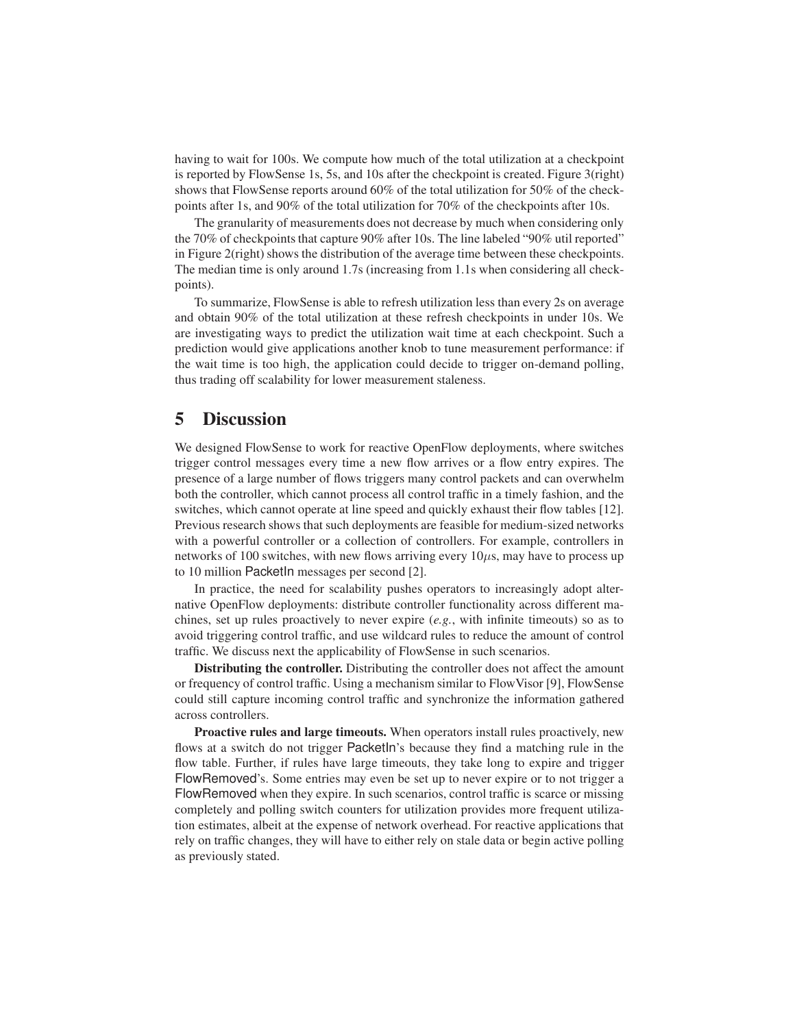having to wait for 100s. We compute how much of the total utilization at a checkpoint is reported by FlowSense 1s, 5s, and 10s after the checkpoint is created. Figure 3(right) shows that FlowSense reports around 60% of the total utilization for 50% of the checkpoints after 1s, and 90% of the total utilization for 70% of the checkpoints after 10s.

The granularity of measurements does not decrease by much when considering only the 70% of checkpoints that capture 90% after 10s. The line labeled "90% util reported" in Figure 2(right) shows the distribution of the average time between these checkpoints. The median time is only around 1.7s (increasing from 1.1s when considering all checkpoints).

To summarize, FlowSense is able to refresh utilization less than every 2s on average and obtain 90% of the total utilization at these refresh checkpoints in under 10s. We are investigating ways to predict the utilization wait time at each checkpoint. Such a prediction would give applications another knob to tune measurement performance: if the wait time is too high, the application could decide to trigger on-demand polling, thus trading off scalability for lower measurement staleness.

## **5 Discussion**

We designed FlowSense to work for reactive OpenFlow deployments, where switches trigger control messages every time a new flow arrives or a flow entry expires. The presence of a large number of flows triggers many control packets and can overwhelm both the controller, which cannot process all control traffic in a timely fashion, and the switches, which cannot operate at line speed and quickly exhaust their flow tables [12]. Previous research shows that such deployments are feasible for medium-sized networks with a powerful controller or a collection of controllers. For example, controllers in networks of 100 switches, with new flows arriving every  $10\mu s$ , may have to process up to 10 million PacketIn messages per second [2].

In practice, the need for scalability pushes operators to increasingly adopt alternative OpenFlow deployments: distribute controller functionality across different machines, set up rules proactively to never expire (*e.g.*, with infinite timeouts) so as to avoid triggering control traffic, and use wildcard rules to reduce the amount of control traffic. We discuss next the applicability of FlowSense in such scenarios.

**Distributing the controller.** Distributing the controller does not affect the amount or frequency of control traffic. Using a mechanism similar to FlowVisor [9], FlowSense could still capture incoming control traffic and synchronize the information gathered across controllers.

**Proactive rules and large timeouts.** When operators install rules proactively, new flows at a switch do not trigger PacketIn's because they find a matching rule in the flow table. Further, if rules have large timeouts, they take long to expire and trigger FlowRemoved's. Some entries may even be set up to never expire or to not trigger a FlowRemoved when they expire. In such scenarios, control traffic is scarce or missing completely and polling switch counters for utilization provides more frequent utilization estimates, albeit at the expense of network overhead. For reactive applications that rely on traffic changes, they will have to either rely on stale data or begin active polling as previously stated.